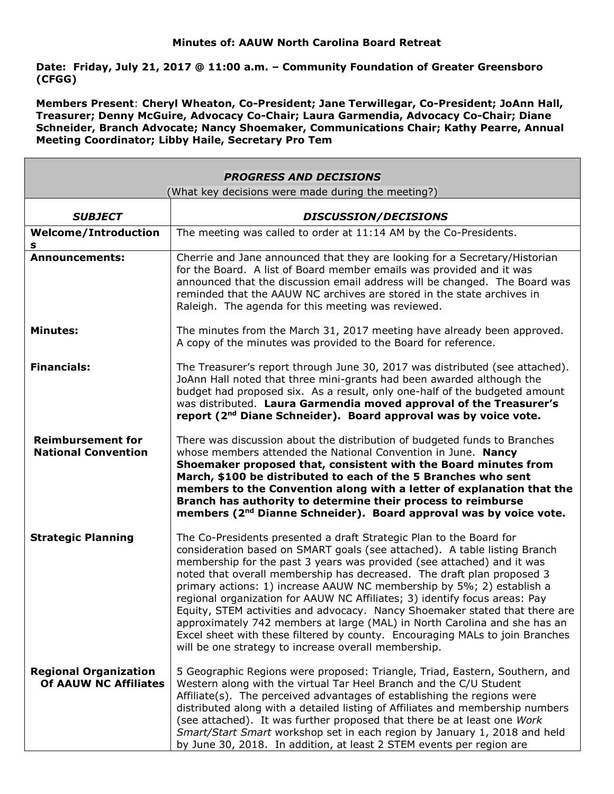**Date: Friday, July 21, 2017 @ 11:00 a.m. – Community Foundation of Greater Greensboro (CFGG)**

**Members Present**: **Cheryl Wheaton, Co-President; Jane Terwillegar, Co-President; JoAnn Hall, Treasurer; Denny McGuire, Advocacy Co-Chair; Laura Garmendia, Advocacy Co-Chair; Diane Schneider, Branch Advocate; Nancy Shoemaker, Communications Chair; Kathy Pearre, Annual Meeting Coordinator; Libby Haile, Secretary Pro Tem**

| <b>PROGRESS AND DECISIONS</b>                                |                                                                                                                                                                                                                                                                                                                                                                                                                                                                                                                                                                                                                                                                                                                                                                 |
|--------------------------------------------------------------|-----------------------------------------------------------------------------------------------------------------------------------------------------------------------------------------------------------------------------------------------------------------------------------------------------------------------------------------------------------------------------------------------------------------------------------------------------------------------------------------------------------------------------------------------------------------------------------------------------------------------------------------------------------------------------------------------------------------------------------------------------------------|
| (What key decisions were made during the meeting?)           |                                                                                                                                                                                                                                                                                                                                                                                                                                                                                                                                                                                                                                                                                                                                                                 |
| <b>SUBJECT</b>                                               | <b>DISCUSSION/DECISIONS</b>                                                                                                                                                                                                                                                                                                                                                                                                                                                                                                                                                                                                                                                                                                                                     |
| <b>Welcome/Introduction</b><br>s                             | The meeting was called to order at 11:14 AM by the Co-Presidents.                                                                                                                                                                                                                                                                                                                                                                                                                                                                                                                                                                                                                                                                                               |
| <b>Announcements:</b>                                        | Cherrie and Jane announced that they are looking for a Secretary/Historian<br>for the Board. A list of Board member emails was provided and it was<br>announced that the discussion email address will be changed. The Board was<br>reminded that the AAUW NC archives are stored in the state archives in<br>Raleigh. The agenda for this meeting was reviewed.                                                                                                                                                                                                                                                                                                                                                                                                |
| <b>Minutes:</b>                                              | The minutes from the March 31, 2017 meeting have already been approved.<br>A copy of the minutes was provided to the Board for reference.                                                                                                                                                                                                                                                                                                                                                                                                                                                                                                                                                                                                                       |
| <b>Financials:</b>                                           | The Treasurer's report through June 30, 2017 was distributed (see attached).<br>JoAnn Hall noted that three mini-grants had been awarded although the<br>budget had proposed six. As a result, only one-half of the budgeted amount<br>was distributed. Laura Garmendia moved approval of the Treasurer's<br>report (2 <sup>nd</sup> Diane Schneider). Board approval was by voice vote.                                                                                                                                                                                                                                                                                                                                                                        |
| <b>Reimbursement for</b><br><b>National Convention</b>       | There was discussion about the distribution of budgeted funds to Branches<br>whose members attended the National Convention in June. Nancy<br>Shoemaker proposed that, consistent with the Board minutes from<br>March, \$100 be distributed to each of the 5 Branches who sent<br>members to the Convention along with a letter of explanation that the<br>Branch has authority to determine their process to reimburse<br>members (2 <sup>nd</sup> Dianne Schneider). Board approval was by voice vote.                                                                                                                                                                                                                                                       |
| <b>Strategic Planning</b>                                    | The Co-Presidents presented a draft Strategic Plan to the Board for<br>consideration based on SMART goals (see attached). A table listing Branch<br>membership for the past 3 years was provided (see attached) and it was<br>noted that overall membership has decreased. The draft plan proposed 3<br>primary actions: 1) increase AAUW NC membership by 5%; 2) establish a<br>regional organization for AAUW NC Affiliates; 3) identify focus areas: Pay<br>Equity, STEM activities and advocacy. Nancy Shoemaker stated that there are<br>approximately 742 members at large (MAL) in North Carolina and she has an<br>Excel sheet with these filtered by county. Encouraging MALs to join Branches<br>will be one strategy to increase overall membership. |
| <b>Regional Organization</b><br><b>Of AAUW NC Affiliates</b> | 5 Geographic Regions were proposed: Triangle, Triad, Eastern, Southern, and<br>Western along with the virtual Tar Heel Branch and the C/U Student<br>Affiliate(s). The perceived advantages of establishing the regions were<br>distributed along with a detailed listing of Affiliates and membership numbers<br>(see attached). It was further proposed that there be at least one Work<br>Smart/Start Smart workshop set in each region by January 1, 2018 and held<br>by June 30, 2018. In addition, at least 2 STEM events per region are                                                                                                                                                                                                                  |